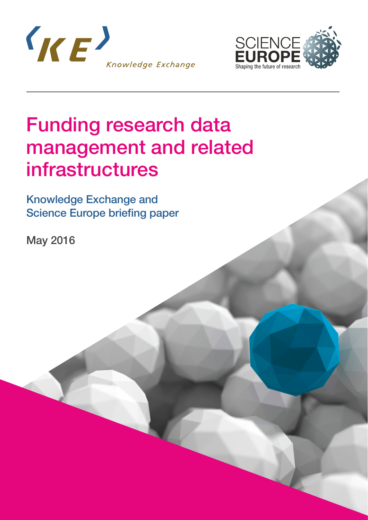



## Funding research data management and related infrastructures

Knowledge Exchange and Science Europe briefing paper

May 2016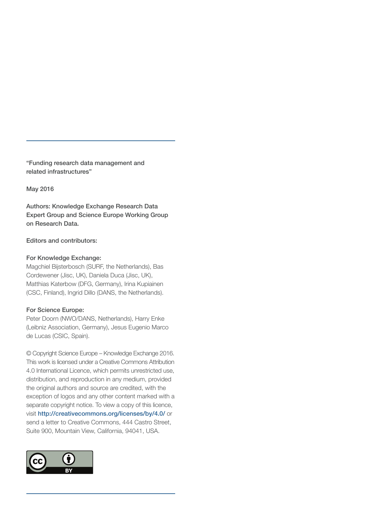"Funding research data management and related infrastructures"

May 2016

Authors: Knowledge Exchange Research Data Expert Group and Science Europe Working Group on Research Data.

#### Editors and contributors:

#### For Knowledge Exchange:

Magchiel Bijsterbosch (SURF, the Netherlands), Bas Cordewener (Jisc, UK), Daniela Duca (Jisc, UK), Matthias Katerbow (DFG, Germany), Irina Kupiainen (CSC, Finland), Ingrid Dillo (DANS, the Netherlands).

#### For Science Europe:

Peter Doorn (NWO/DANS, Netherlands), Harry Enke (Leibniz Association, Germany), Jesus Eugenio Marco de Lucas (CSIC, Spain).

© Copyright Science Europe – Knowledge Exchange 2016. This work is licensed under a Creative Commons Attribution 4.0 International Licence, which permits unrestricted use, distribution, and reproduction in any medium, provided the original authors and source are credited, with the exception of logos and any other content marked with a separate copyright notice. To view a copy of this licence, visit <http://creativecommons.org/licenses/by/4.0/> or send a letter to Creative Commons, 444 Castro Street, Suite 900, Mountain View, California, 94041, USA.

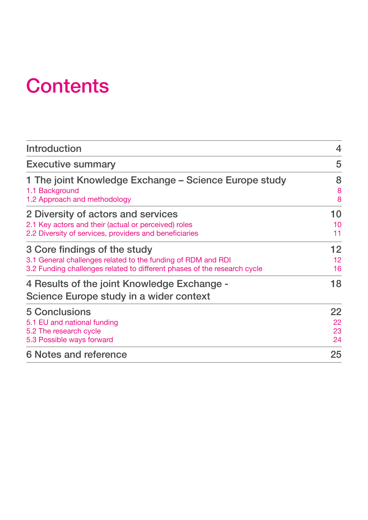## **Contents**

| <b>Introduction</b>                                                                    | $\overline{4}$ |
|----------------------------------------------------------------------------------------|----------------|
| <b>Executive summary</b>                                                               | 5              |
| 1 The joint Knowledge Exchange - Science Europe study                                  | 8              |
| 1.1 Background                                                                         | 8              |
| 1.2 Approach and methodology                                                           | 8              |
| 2 Diversity of actors and services                                                     | <b>10</b>      |
| 2.1 Key actors and their (actual or perceived) roles                                   | 10             |
| 2.2 Diversity of services, providers and beneficiaries                                 | 11             |
| 3 Core findings of the study                                                           | 12             |
| 3.1 General challenges related to the funding of RDM and RDI                           | 12             |
| 3.2 Funding challenges related to different phases of the research cycle               | 16             |
| 4 Results of the joint Knowledge Exchange -<br>Science Europe study in a wider context | 18             |
| <b>5 Conclusions</b>                                                                   | 22             |
| 5.1 EU and national funding                                                            | 22             |
| 5.2 The research cycle                                                                 | 23             |
| 5.3 Possible ways forward                                                              | 24             |
| <b>6 Notes and reference</b>                                                           | 25             |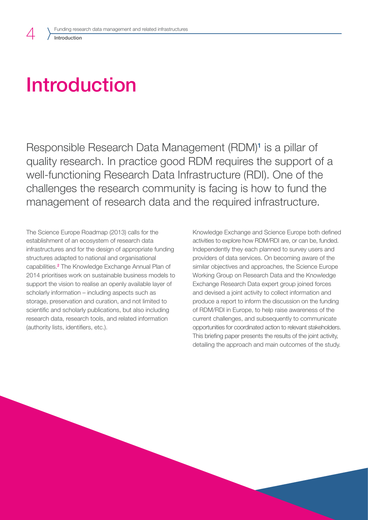# <span id="page-3-0"></span>Introduction

Responsible Research Data Management (RDM)<sup>1</sup> is a pillar of quality research. In practice good RDM requires the support of a well-functioning Research Data Infrastructure (RDI). One of the challenges the research community is facing is how to fund the management of research data and the required infrastructure.

The Science Europe Roadmap (2013) calls for the establishment of an ecosystem of research data infrastructures and for the design of appropriate funding structures adapted to national and organisational capabilities.<sup>2</sup> The Knowledge Exchange Annual Plan of 2014 prioritises work on sustainable business models to support the vision to realise an openly available layer of scholarly information – including aspects such as storage, preservation and curation, and not limited to scientific and scholarly publications, but also including research data, research tools, and related information (authority lists, identifiers, etc.).

Knowledge Exchange and Science Europe both defined activities to explore how RDM/RDI are, or can be, funded. Independently they each planned to survey users and providers of data services. On becoming aware of the similar objectives and approaches, the Science Europe Working Group on Research Data and the Knowledge Exchange Research Data expert group joined forces and devised a joint activity to collect information and produce a report to inform the discussion on the funding of RDM/RDI in Europe, to help raise awareness of the current challenges, and subsequently to communicate opportunities for coordinated action to relevant stakeholders. This briefing paper presents the results of the joint activity, detailing the approach and main outcomes of the study.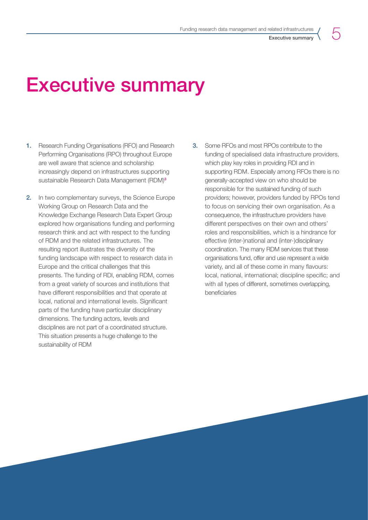## <span id="page-4-0"></span>Executive summary

- 1. Research Funding Organisations (RFO) and Research Performing Organisations (RPO) throughout Europe are well aware that science and scholarship increasingly depend on infrastructures supporting sustainable Research Data Management (RDM)<sup>3</sup>
- 2. In two complementary surveys, the Science Europe Working Group on Research Data and the Knowledge Exchange Research Data Expert Group explored how organisations funding and performing research think and act with respect to the funding of RDM and the related infrastructures. The resulting report illustrates the diversity of the funding landscape with respect to research data in Europe and the critical challenges that this presents. The funding of RDI, enabling RDM, comes from a great variety of sources and institutions that have different responsibilities and that operate at local, national and international levels. Significant parts of the funding have particular disciplinary dimensions. The funding actors, levels and disciplines are not part of a coordinated structure. This situation presents a huge challenge to the sustainability of RDM
- 3. Some RFOs and most RPOs contribute to the funding of specialised data infrastructure providers, which play key roles in providing RDI and in supporting RDM. Especially among RFOs there is no generally-accepted view on who should be responsible for the sustained funding of such providers; however, providers funded by RPOs tend to focus on servicing their own organisation. As a consequence, the infrastructure providers have different perspectives on their own and others' roles and responsibilities, which is a hindrance for effective (inter-)national and (inter-)disciplinary coordination. The many RDM services that these organisations fund, offer and use represent a wide variety, and all of these come in many flavours: local, national, international; discipline specific; and with all types of different, sometimes overlapping, beneficiaries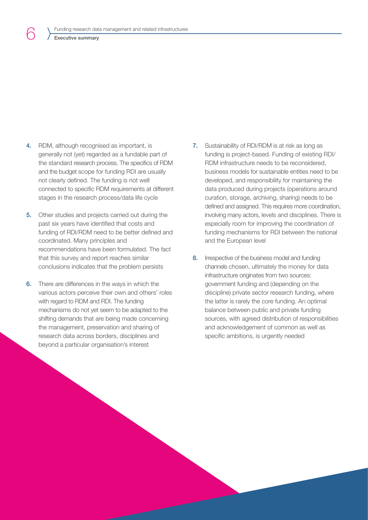#### Executive summary

6

- 4. RDM, although recognised as important, is generally not (yet) regarded as a fundable part of the standard research process. The specifics of RDM and the budget scope for funding RDI are usually not clearly defined. The funding is not well connected to specific RDM requirements at different stages in the research process/data life cycle
- 5. Other studies and projects carried out during the past six years have identified that costs and funding of RDI/RDM need to be better defined and coordinated. Many principles and recommendations have been formulated. The fact that this survey and report reaches similar conclusions indicates that the problem persists
- 6. There are differences in the ways in which the various actors perceive their own and others' roles with regard to RDM and RDI. The funding mechanisms do not yet seem to be adapted to the shifting demands that are being made concerning the management, preservation and sharing of research data across borders, disciplines and beyond a particular organisation's interest
- 7. Sustainability of RDI/RDM is at risk as long as funding is project-based. Funding of existing RDI/ RDM infrastructure needs to be reconsidered, business models for sustainable entities need to be developed, and responsibility for maintaining the data produced during projects (operations around curation, storage, archiving, sharing) needs to be defined and assigned. This requires more coordination, involving many actors, levels and disciplines. There is especially room for improving the coordination of funding mechanisms for RDI between the national and the European level
- 8. Irrespective of the business model and funding channels chosen, ultimately the money for data infrastructure originates from two sources: government funding and (depending on the discipline) private sector research funding, where the latter is rarely the core funding. An optimal balance between public and private funding sources, with agreed distribution of responsibilities and acknowledgement of common as well as specific ambitions, is urgently needed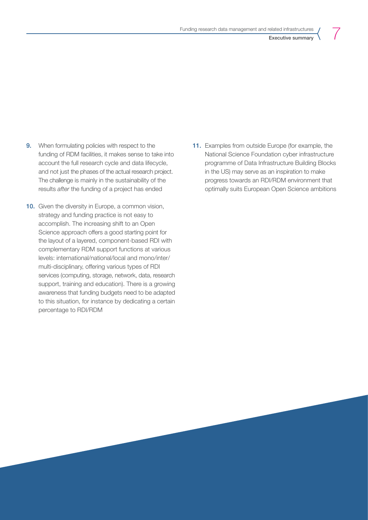Executive summary

7

- **9.** When formulating policies with respect to the funding of RDM facilities, it makes sense to take into account the full research cycle and data lifecycle, and not just the phases of the actual research project. The challenge is mainly in the sustainability of the results *after* the funding of a project has ended
- 10. Given the diversity in Europe, a common vision, strategy and funding practice is not easy to accomplish. The increasing shift to an Open Science approach offers a good starting point for the layout of a layered, component-based RDI with complementary RDM support functions at various levels: international/national/local and mono/inter/ multi-disciplinary, offering various types of RDI services (computing, storage, network, data, research support, training and education). There is a growing awareness that funding budgets need to be adapted to this situation, for instance by dedicating a certain percentage to RDI/RDM
- 11. Examples from outside Europe (for example, the National Science Foundation cyber infrastructure programme of Data Infrastructure Building Blocks in the US) may serve as an inspiration to make progress towards an RDI/RDM environment that optimally suits European Open Science ambitions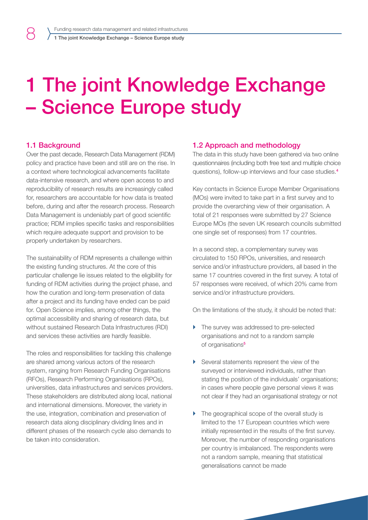## 1 The joint Knowledge Exchange – Science Europe study

### 1.1 Background

<span id="page-7-0"></span>8

Over the past decade, Research Data Management (RDM) policy and practice have been and still are on the rise. In a context where technological advancements facilitate data-intensive research, and where open access to and reproducibility of research results are increasingly called for, researchers are accountable for how data is treated before, during and after the research process. Research Data Management is undeniably part of good scientific practice; RDM implies specific tasks and responsibilities which require adequate support and provision to be properly undertaken by researchers.

The sustainability of RDM represents a challenge within the existing funding structures. At the core of this particular challenge lie issues related to the eligibility for funding of RDM activities during the project phase, and how the curation and long-term preservation of data after a project and its funding have ended can be paid for. Open Science implies, among other things, the optimal accessibility and sharing of research data, but without sustained Research Data Infrastructures (RDI) and services these activities are hardly feasible.

The roles and responsibilities for tackling this challenge are shared among various actors of the research system, ranging from Research Funding Organisations (RFOs), Research Performing Organisations (RPOs), universities, data infrastructures and services providers. These stakeholders are distributed along local, national and international dimensions. Moreover, the variety in the use, integration, combination and preservation of research data along disciplinary dividing lines and in different phases of the research cycle also demands to be taken into consideration.

### 1.2 Approach and methodology

The data in this study have been gathered via two online questionnaires (including both free text and multiple choice questions), follow-up interviews and four case studies.<sup>4</sup>

Key contacts in Science Europe Member Organisations (MOs) were invited to take part in a first survey and to provide the overarching view of their organisation. A total of 21 responses were submitted by 27 Science Europe MOs (the seven UK research councils submitted one single set of responses) from 17 countries.

In a second step, a complementary survey was circulated to 150 RPOs, universities, and research service and/or infrastructure providers, all based in the same 17 countries covered in the first survey. A total of 57 responses were received, of which 20% came from service and/or infrastructure providers.

On the limitations of the study, it should be noted that:

- $\blacktriangleright$  The survey was addressed to pre-selected organisations and not to a random sample of organisations<sup>5</sup>
- $\triangleright$  Several statements represent the view of the surveyed or interviewed individuals, rather than stating the position of the individuals' organisations; in cases where people gave personal views it was not clear if they had an organisational strategy or not
- $\triangleright$  The geographical scope of the overall study is limited to the 17 European countries which were initially represented in the results of the first survey. Moreover, the number of responding organisations per country is imbalanced. The respondents were not a random sample, meaning that statistical generalisations cannot be made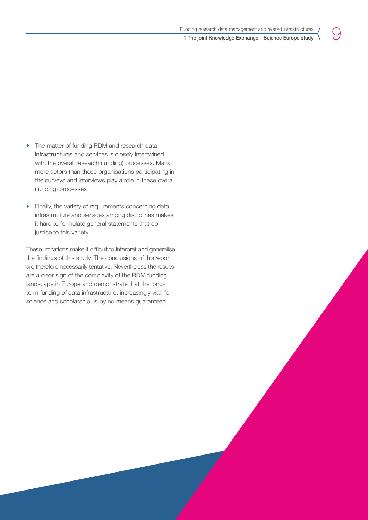9

- $\triangleright$  The matter of funding RDM and research data infrastructures and services is closely intertwined with the overall research (funding) processes. Many more actors than those organisations participating in the surveys and interviews play a role in these overall (funding) processes
- $\blacktriangleright$  Finally, the variety of requirements concerning data infrastructure and services among disciplines makes it hard to formulate general statements that do justice to this variety

These limitations make it difficult to interpret and generalise the findings of this study. The conclusions of this report are therefore necessarily tentative. Nevertheless the results are a clear sign of the complexity of the RDM funding landscape in Europe and demonstrate that the longterm funding of data infrastructure, increasingly vital for science and scholarship, is by no means guaranteed.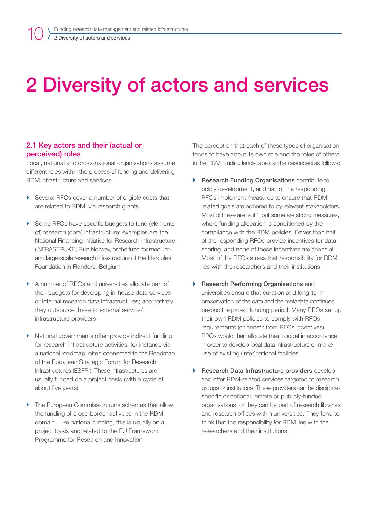# <span id="page-9-0"></span>2 Diversity of actors and services

### 2.1 Key actors and their (actual or perceived) roles

Local, national and cross-national organisations assume different roles within the process of funding and delivering RDM infrastructure and services:

- ▶ Several RFOs cover a number of eligible costs that are related to RDM, via research grants
- ▶ Some RFOs have specific budgets to fund (elements) of) research (data) infrastructure; examples are the National Financing Initiative for Research Infrastructure (INFRASTRUKTUR) in Norway, or the fund for mediumand large-scale research infrastructure of the Hercules Foundation in Flanders, Belgium
- A number of RPOs and universities allocate part of their budgets for developing in-house data services or internal research data infrastructures; alternatively they outsource these to external service/ infrastructure providers
- $\triangleright$  National governments often provide indirect funding for research infrastructure activities, for instance via a national roadmap, often connected to the Roadmap of the European Strategic Forum for Research Infrastructures (ESFRI). These infrastructures are usually funded on a project basis (with a cycle of about five years)
- $\triangleright$  The European Commission runs schemes that allow the funding of cross-border activities in the RDM domain. Like national funding, this is usually on a project basis and related to the EU Framework Programme for Research and Innovation

The perception that each of these types of organisation tends to have about its own role and the roles of others in the RDM funding landscape can be described as follows:

- ▶ Research Funding Organisations contribute to policy development, and half of the responding RFOs implement measures to ensure that RDMrelated goals are adhered to by relevant stakeholders. Most of these are 'soft', but some are strong measures, where funding allocation is conditioned by the compliance with the RDM policies. Fewer than half of the responding RFOs provide incentives for data sharing, and none of these incentives are financial. Most of the RFOs stress that responsibility for RDM lies with the researchers and their institutions
- **Research Performing Organisations and** universities ensure that curation and long-term preservation of the data and the metadata continues beyond the project funding period. Many RPOs set up their own RDM policies to comply with RFOs requirements (or benefit from RFOs incentives). RPOs would then allocate their budget in accordance in order to develop local data infrastructure or make use of existing (inter)national facilities
- $\triangleright$  Research Data Infrastructure providers develop and offer RDM-related services targeted to research groups or institutions. These providers can be disciplinespecific or national, private or publicly-funded organisations, or they can be part of research libraries and research offices within universities. They tend to think that the responsibility for RDM lies with the researchers and their institutions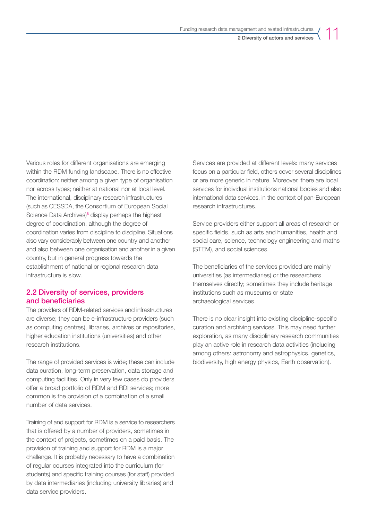2 Diversity of actors and services

<span id="page-10-0"></span>Various roles for different organisations are emerging within the RDM funding landscape. There is no effective coordination: neither among a given type of organisation nor across types; neither at national nor at local level. The international, disciplinary research infrastructures (such as CESSDA, the Consortium of European Social Science Data Archives)<sup>6</sup> display perhaps the highest degree of coordination, although the degree of coordination varies from discipline to discipline. Situations also vary considerably between one country and another and also between one organisation and another in a given country, but in general progress towards the establishment of national or regional research data infrastructure is slow.

## 2.2 Diversity of services, providers and beneficiaries

The providers of RDM-related services and infrastructures are diverse; they can be e-infrastructure providers (such as computing centres), libraries, archives or repositories, higher education institutions (universities) and other research institutions.

The range of provided services is wide; these can include data curation, long-term preservation, data storage and computing facilities. Only in very few cases do providers offer a broad portfolio of RDM and RDI services; more common is the provision of a combination of a small number of data services.

Training of and support for RDM is a service to researchers that is offered by a number of providers, sometimes in the context of projects, sometimes on a paid basis. The provision of training and support for RDM is a major challenge. It is probably necessary to have a combination of regular courses integrated into the curriculum (for students) and specific training courses (for staff) provided by data intermediaries (including university libraries) and data service providers.

Services are provided at different levels: many services focus on a particular field, others cover several disciplines or are more generic in nature. Moreover, there are local services for individual institutions national bodies and also international data services, in the context of pan-European research infrastructures.

Service providers either support all areas of research or specific fields, such as arts and humanities, health and social care, science, technology engineering and maths (STEM), and social sciences.

The beneficiaries of the services provided are mainly universities (as intermediaries) or the researchers themselves directly; sometimes they include heritage institutions such as museums or state archaeological services.

There is no clear insight into existing discipline-specific curation and archiving services. This may need further exploration, as many disciplinary research communities play an active role in research data activities (including among others: astronomy and astrophysics, genetics, biodiversity, high energy physics, Earth observation).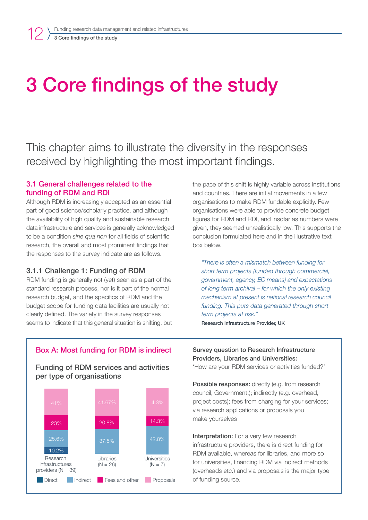# <span id="page-11-0"></span>3 Core findings of the study

This chapter aims to illustrate the diversity in the responses received by highlighting the most important findings.

### 3.1 General challenges related to the funding of RDM and RDI

Although RDM is increasingly accepted as an essential part of good science/scholarly practice, and although the availability of high quality and sustainable research data infrastructure and services is generally acknowledged to be a condition *sine qua non* for all fields of scientific research, the overall and most prominent findings that the responses to the survey indicate are as follows.

## 3.1.1 Challenge 1: Funding of RDM

RDM funding is generally not (yet) seen as a part of the standard research process, nor is it part of the normal research budget, and the specifics of RDM and the budget scope for funding data facilities are usually not clearly defined. The variety in the survey responses seems to indicate that this general situation is shifting, but the pace of this shift is highly variable across institutions and countries. There are initial movements in a few organisations to make RDM fundable explicitly. Few organisations were able to provide concrete budget figures for RDM and RDI, and insofar as numbers were given, they seemed unrealistically low. This supports the conclusion formulated here and in the illustrative text box below.

*"There is often a mismatch between funding for short term projects (funded through commercial, government, agency, EC means) and expectations of long term archival – for which the only existing mechanism at present is national research council funding. This puts data generated through short term projects at risk."*  Research Infrastructure Provider, UK

## Box A: Most funding for RDM is indirect

Funding of RDM services and activities per type of organisations



Survey question to Research Infrastructure Providers, Libraries and Universities:

'How are your RDM services or activities funded?'

Possible responses: directly (e.g. from research council, Government.); indirectly (e.g. overhead, project costs); fees from charging for your services; via research applications or proposals you make yourselves

Interpretation: For a very few research infrastructure providers, there is direct funding for RDM available, whereas for libraries, and more so for universities, financing RDM via indirect methods (overheads etc.) and via proposals is the major type of funding source.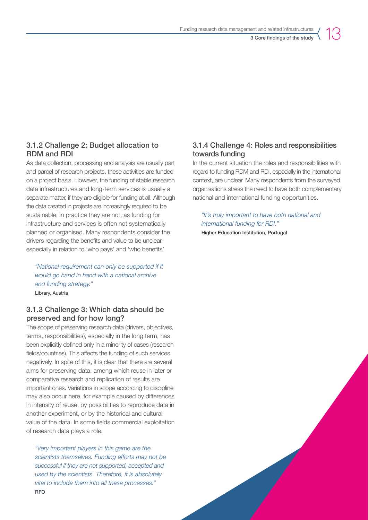## 3.1.2 Challenge 2: Budget allocation to RDM and RDI

As data collection, processing and analysis are usually part and parcel of research projects, these activities are funded on a project basis. However, the funding of stable research data infrastructures and long-term services is usually a separate matter, if they are eligible for funding at all. Although the data created in projects are increasingly required to be sustainable, in practice they are not, as funding for infrastructure and services is often not systematically planned or organised. Many respondents consider the drivers regarding the benefits and value to be unclear, especially in relation to 'who pays' and 'who benefits'.

*"National requirement can only be supported if it would go hand in hand with a national archive and funding strategy."*  Library, Austria

## 3.1.3 Challenge 3: Which data should be preserved and for how long?

The scope of preserving research data (drivers, objectives, terms, responsibilities), especially in the long term, has been explicitly defined only in a minority of cases (research fields/countries). This affects the funding of such services negatively. In spite of this, it is clear that there are several aims for preserving data, among which reuse in later or comparative research and replication of results are important ones. Variations in scope according to discipline may also occur here, for example caused by differences in intensity of reuse, by possibilities to reproduce data in another experiment, or by the historical and cultural value of the data. In some fields commercial exploitation of research data plays a role.

*"Very important players in this game are the scientists themselves. Funding efforts may not be successful if they are not supported, accepted and used by the scientists. Therefore, it is absolutely vital to include them into all these processes."*  RFO

## 3.1.4 Challenge 4: Roles and responsibilities towards funding

In the current situation the roles and responsibilities with regard to funding RDM and RDI, especially in the international context, are unclear. Many respondents from the surveyed organisations stress the need to have both complementary national and international funding opportunities.

*"It's truly important to have both national and international funding for RDI."*  Higher Education Institution, Portugal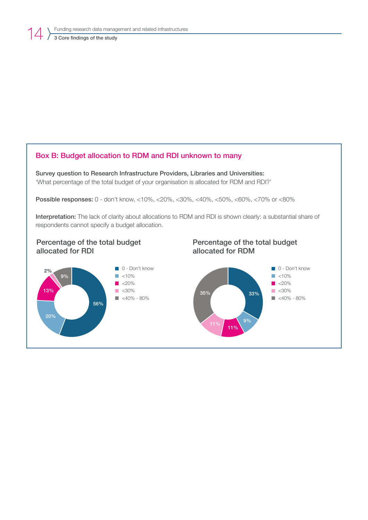## Box B: Budget allocation to RDM and RDI unknown to many

Survey question to Research Infrastructure Providers, Libraries and Universities: 'What percentage of the total budget of your organisation is allocated for RDM and RDI?'

Possible responses: 0 - don't know, <10%, <20%, <30%, <40%, <50%, <60%, <70% or <80%

Interpretation: The lack of clarity about allocations to RDM and RDI is shown clearly: a substantial share of respondents cannot specify a budget allocation.

## Percentage of the total budget allocated for RDI





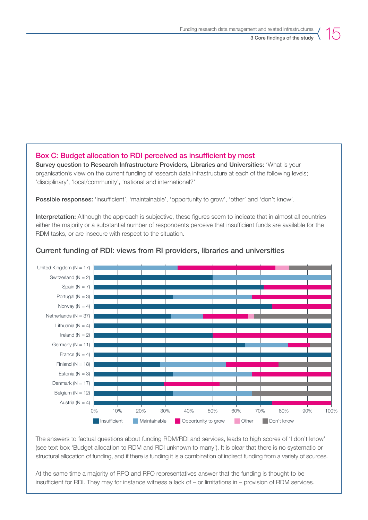## Box C: Budget allocation to RDI perceived as insufficient by most

Survey question to Research Infrastructure Providers, Libraries and Universities: 'What is your organisation's view on the current funding of research data infrastructure at each of the following levels; 'disciplinary', 'local/community', 'national and international?'

Possible responses: 'insufficient', 'maintainable', 'opportunity to grow', 'other' and 'don't know'.

Interpretation: Although the approach is subjective, these figures seem to indicate that in almost all countries either the majority or a substantial number of respondents perceive that insufficient funds are available for the RDM tasks, or are insecure with respect to the situation.



### Current funding of RDI: views from RI providers, libraries and universities

The answers to factual questions about funding RDM/RDI and services, leads to high scores of 'I don't know' (see text box 'Budget allocation to RDM and RDI unknown to many'). It is clear that there is no systematic or structural allocation of funding, and if there is funding it is a combination of indirect funding from a variety of sources.

At the same time a majority of RPO and RFO representatives answer that the funding is thought to be insufficient for RDI. They may for instance witness a lack of – or limitations in – provision of RDM services.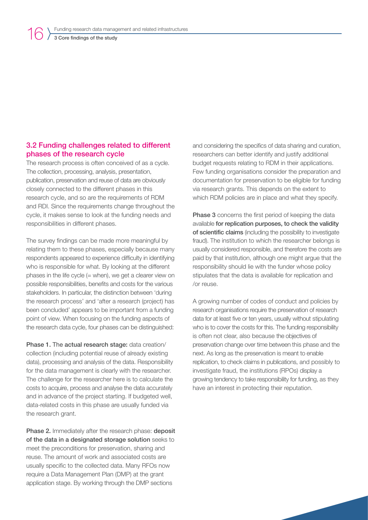## <span id="page-15-0"></span>3 Core findings of the study

## 3.2 Funding challenges related to different phases of the research cycle

The research process is often conceived of as a cycle. The collection, processing, analysis, presentation, publication, preservation and reuse of data are obviously closely connected to the different phases in this research cycle, and so are the requirements of RDM and RDI. Since the requirements change throughout the cycle, it makes sense to look at the funding needs and responsibilities in different phases.

The survey findings can be made more meaningful by relating them to these phases, especially because many respondents appeared to experience difficulty in identifying who is responsible for what. By looking at the different phases in the life cycle  $(=$  when), we get a clearer view on possible responsibilities, benefits and costs for the various stakeholders. In particular, the distinction between 'during the research process' and 'after a research (project) has been concluded' appears to be important from a funding point of view. When focusing on the funding aspects of the research data cycle, four phases can be distinguished:

Phase 1. The actual research stage: data creation/ collection (including potential reuse of already existing data), processing and analysis of the data. Responsibility for the data management is clearly with the researcher. The challenge for the researcher here is to calculate the costs to acquire, process and analyse the data accurately and in advance of the project starting. If budgeted well, data-related costs in this phase are usually funded via the research grant.

Phase 2. Immediately after the research phase: deposit of the data in a designated storage solution seeks to meet the preconditions for preservation, sharing and reuse. The amount of work and associated costs are usually specific to the collected data. Many RFOs now require a Data Management Plan (DMP) at the grant application stage. By working through the DMP sections

and considering the specifics of data sharing and curation, researchers can better identify and justify additional budget requests relating to RDM in their applications. Few funding organisations consider the preparation and documentation for preservation to be eligible for funding via research grants. This depends on the extent to which RDM policies are in place and what they specify.

Phase 3 concerns the first period of keeping the data available for replication purposes, to check the validity of scientific claims (including the possibility to investigate fraud). The institution to which the researcher belongs is usually considered responsible, and therefore the costs are paid by that institution, although one might argue that the responsibility should lie with the funder whose policy stipulates that the data is available for replication and /or reuse.

A growing number of codes of conduct and policies by research organisations require the preservation of research data for at least five or ten years, usually without stipulating who is to cover the costs for this. The funding responsibility is often not clear, also because the objectives of preservation change over time between this phase and the next. As long as the preservation is meant to enable replication, to check claims in publications, and possibly to investigate fraud, the institutions (RPOs) display a growing tendency to take responsibility for funding, as they have an interest in protecting their reputation.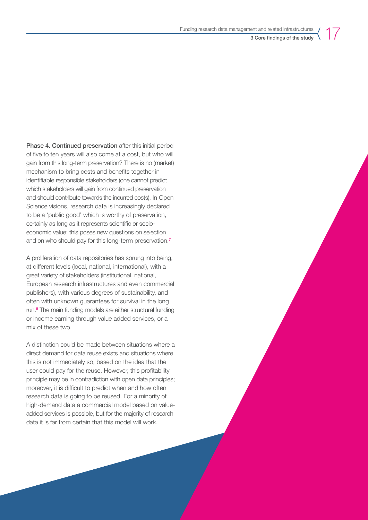Phase 4. Continued preservation after this initial period of five to ten years will also come at a cost, but who will gain from this long-term preservation? There is no (market) mechanism to bring costs and benefits together in identifiable responsible stakeholders (one cannot predict which stakeholders will gain from continued preservation and should contribute towards the incurred costs). In Open Science visions, research data is increasingly declared to be a 'public good' which is worthy of preservation, certainly as long as it represents scientific or socioeconomic value; this poses new questions on selection and on who should pay for this long-term preservation.<sup>7</sup>

A proliferation of data repositories has sprung into being, at different levels (local, national, international), with a great variety of stakeholders (institutional, national, European research infrastructures and even commercial publishers), with various degrees of sustainability, and often with unknown guarantees for survival in the long run.<sup>8</sup> The main funding models are either structural funding or income earning through value added services, or a mix of these two.

A distinction could be made between situations where a direct demand for data reuse exists and situations where this is not immediately so, based on the idea that the user could pay for the reuse. However, this profitability principle may be in contradiction with open data principles; moreover, it is difficult to predict when and how often research data is going to be reused. For a minority of high-demand data a commercial model based on valueadded services is possible, but for the majority of research data it is far from certain that this model will work.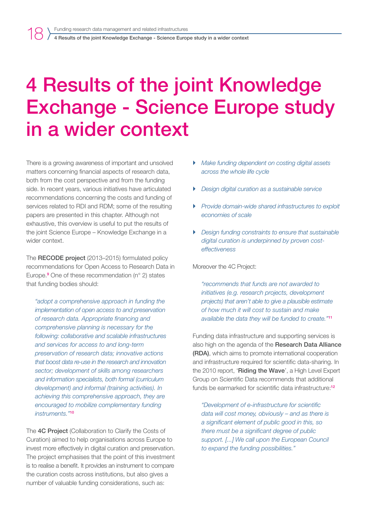<span id="page-17-0"></span>There is a growing awareness of important and unsolved matters concerning financial aspects of research data, both from the cost perspective and from the funding side. In recent years, various initiatives have articulated recommendations concerning the costs and funding of services related to RDI and RDM; some of the resulting papers are presented in this chapter. Although not exhaustive, this overview is useful to put the results of the joint Science Europe – Knowledge Exchange in a wider context.

The **RECODE project** (2013–2015) formulated policy recommendations for Open Access to Research Data in Europe.<sup>9</sup> One of these recommendation (n° 2) states that funding bodies should:

*"adopt a comprehensive approach in funding the implementation of open access to and preservation of research data. Appropriate financing and comprehensive planning is necessary for the following: collaborative and scalable infrastructures and services for access to and long-term preservation of research data; innovative actions that boost data re-use in the research and innovation sector; development of skills among researchers and information specialists, both formal (curriculum development) and informal (training activities). In achieving this comprehensive approach, they are encouraged to mobilize complementary funding instruments."*<sup>10</sup>

The 4C Project (Collaboration to Clarify the Costs of Curation) aimed to help organisations across Europe to invest more effectively in digital curation and preservation. The project emphasises that the point of this investment is to realise a benefit. It provides an instrument to compare the curation costs across institutions, but also gives a number of valuable funding considerations, such as:

- ` *Make funding dependent on costing digital assets across the whole life cycle*
- ` *Design digital curation as a sustainable service*
- ` *Provide domain-wide shared infrastructures to exploit economies of scale*
- ` *Design funding constraints to ensure that sustainable digital curation is underpinned by proven costeffectiveness*

Moreover the 4C Project:

*"recommends that funds are not awarded to initiatives (e.g. research projects, development projects) that aren't able to give a plausible estimate of how much it will cost to sustain and make available the data they will be funded to create."*<sup>11</sup>

Funding data infrastructure and supporting services is also high on the agenda of the Research Data Alliance (RDA), which aims to promote international cooperation and infrastructure required for scientific data-sharing. In the 2010 report, 'Riding the Wave', a High Level Expert Group on Scientific Data recommends that additional funds be earmarked for scientific data infrastructure:<sup>12</sup>

*"Development of e-infrastructure for scientific data will cost money, obviously – and as there is a significant element of public good in this, so there must be a significant degree of public support. [...] We call upon the European Council to expand the funding possibilities."*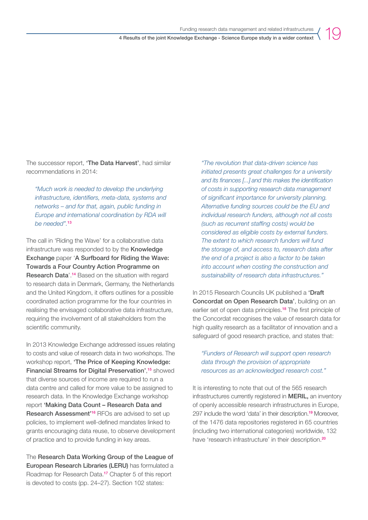The successor report, 'The Data Harvest', had similar recommendations in 2014:

*"Much work is needed to develop the underlying infrastructure, identifiers, meta-data, systems and networks – and for that, again, public funding in Europe and international coordination by RDA will be needed".*<sup>13</sup>

The call in 'Riding the Wave' for a collaborative data infrastructure was responded to by the **Knowledge** Exchange paper 'A Surfboard for Riding the Wave: Towards a Four Country Action Programme on Research Data'.<sup>14</sup> Based on the situation with regard to research data in Denmark, Germany, the Netherlands and the United Kingdom, it offers outlines for a possible coordinated action programme for the four countries in realising the envisaged collaborative data infrastructure, requiring the involvement of all stakeholders from the scientific community.

In 2013 Knowledge Exchange addressed issues relating to costs and value of research data in two workshops. The workshop report, 'The Price of Keeping Knowledge: Financial Streams for Digital Preservation',<sup>15</sup> showed that diverse sources of income are required to run a data centre and called for more value to be assigned to research data. In the Knowledge Exchange workshop report 'Making Data Count – Research Data and Research Assessment'16 RFOs are advised to set up policies, to implement well-defined mandates linked to grants encouraging data reuse, to observe development of practice and to provide funding in key areas.

The Research Data Working Group of the League of European Research Libraries (LERU) has formulated a Roadmap for Research Data.17 Chapter 5 of this report is devoted to costs (pp. 24–27). Section 102 states:

*"The revolution that data-driven science has initiated presents great challenges for a university and its finances [...] and this makes the identification of costs in supporting research data management of significant importance for university planning. Alternative funding sources could be the EU and individual research funders, although not all costs (such as recurrent staffing costs) would be considered as eligible costs by external funders. The extent to which research funders will fund the storage of, and access to, research data after the end of a project is also a factor to be taken into account when costing the construction and sustainability of research data infrastructures."*

In 2015 Research Councils UK published a 'Draft' Concordat on Open Research Data', building on an earlier set of open data principles.<sup>18</sup> The first principle of the Concordat recognises the value of research data for high quality research as a facilitator of innovation and a safeguard of good research practice, and states that:

*"Funders of Research will support open research data through the provision of appropriate resources as an acknowledged research cost."* 

It is interesting to note that out of the 565 research infrastructures currently registered in MERIL, an inventory of openly accessible research infrastructures in Europe, 297 include the word 'data' in their description.19 Moreover, of the 1476 data repositories registered in 65 countries (including two international categories) worldwide, 132 have 'research infrastructure' in their description.<sup>20</sup>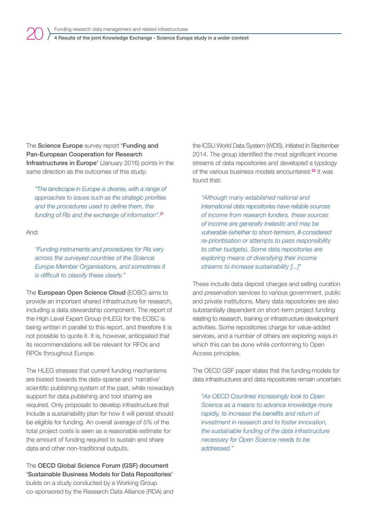The Science Europe survey report 'Funding and Pan-European Cooperation for Research Infrastructures in Europe' (January 2016) points in the same direction as the outcomes of this study:

*"The landscape in Europe is diverse, with a range of approaches to issues such as the strategic priorities and the procedures used to define them, the funding of RIs and the exchange of information".*<sup>21</sup>

And:

20

*"Funding instruments and procedures for RIs vary across the surveyed countries of the Science Europe Member Organisations, and sometimes it is difficult to classify these clearly."*

The European Open Science Cloud (EOSC) aims to provide an important shared infrastructure for research, including a data stewardship component. The report of the High Level Expert Group (HLEG) for the EOSC is being written in parallel to this report, and therefore it is not possible to quote it. It is, however, anticipated that its recommendations will be relevant for RFOs and RPOs throughout Europe.

The HLEG stresses that current funding mechanisms are biased towards the data-sparse and 'narrative' scientific publishing system of the past, while nowadays support for data publishing and tool sharing are required. Only proposals to develop infrastructure that include a sustainability plan for how it will persist should be eligible for funding. An overall average of 5% of the total project costs is seen as a reasonable estimate for the amount of funding required to sustain and share data and other non-traditional outputs.

The OECD Global Science Forum (GSF) document 'Sustainable Business Models for Data Repositories' builds on a study conducted by a Working Group co-sponsored by the Research Data Alliance (RDA) and the ICSU World Data System (WDS), initiated in September 2014. The group identified the most significant income streams of data repositories and developed a typology of the various business models encountered.22 It was found that:

*"Although many established national and international data repositories have reliable sources of income from research funders, these sources of income are generally inelastic and may be vulnerable (whether to short-termism, ill-considered re-prioritisation or attempts to pass responsibility to other budgets). Some data repositories are exploring means of diversifying their income streams to increase sustainability [...]"*

These include data deposit charges and selling curation and preservation services to various government, public and private institutions. Many data repositories are also substantially dependent on short-term project funding relating to research, training or infrastructure development activities. Some repositories charge for value-added services, and a number of others are exploring ways in which this can be done while conforming to Open Access principles.

The OECD GSF paper states that the funding models for data infrastructures and data repositories remain uncertain:

*"As OECD Countries increasingly look to Open Science as a means to advance knowledge more rapidly, to increase the benefits and return of investment in research and to foster innovation, the sustainable funding of the data infrastructure necessary for Open Science needs to be addressed."*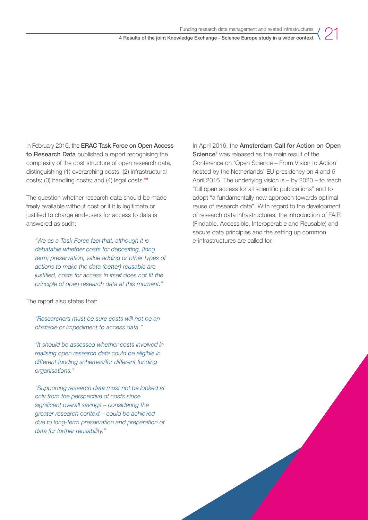In February 2016, the **ERAC Task Force on Open Access** to Research Data published a report recognising the complexity of the cost structure of open research data, distinguishing (1) overarching costs; (2) infrastructural costs; (3) handling costs; and (4) legal costs.<sup>23</sup>

The question whether research data should be made freely available without cost or if it is legitimate or justified to charge end-users for access to data is answered as such:

*"We as a Task Force feel that, although it is debatable whether costs for depositing, (long term) preservation, value adding or other types of actions to make the data (better) reusable are justified, costs for access in itself does not fit the principle of open research data at this moment."*

The report also states that:

*"Researchers must be sure costs will not be an obstacle or impediment to access data."*

*"It should be assessed whether costs involved in realising open research data could be eligible in different funding schemes/for different funding organisations."*

*"Supporting research data must not be looked at only from the perspective of costs since significant overall savings – considering the greater research context – could be achieved due to long-term preservation and preparation of data for further reusability."*

In April 2016, the Amsterdam Call for Action on Open Science<sup>7</sup> was released as the main result of the Conference on 'Open Science – From Vision to Action' hosted by the Netherlands' EU presidency on 4 and 5 April 2016. The underlying vision is – by 2020 – to reach "full open access for all scientific publications" and to adopt "a fundamentally new approach towards optimal reuse of research data". With regard to the development of research data infrastructures, the introduction of FAIR (Findable, Accessible, Interoperable and Reusable) and secure data principles and the setting up common e-infrastructures are called for.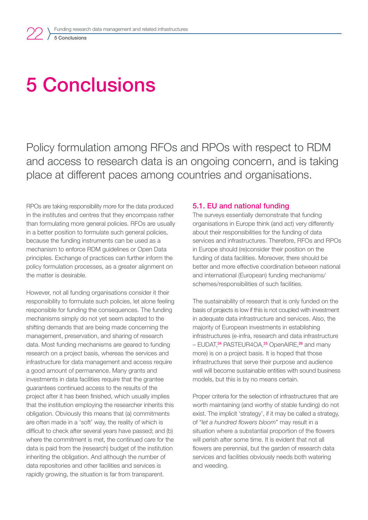## 5 Conclusions

<span id="page-21-0"></span>22

Policy formulation among RFOs and RPOs with respect to RDM and access to research data is an ongoing concern, and is taking place at different paces among countries and organisations.

RPOs are taking responsibility more for the data produced in the institutes and centres that they encompass rather than formulating more general policies. RFOs are usually in a better position to formulate such general policies, because the funding instruments can be used as a mechanism to enforce RDM guidelines or Open Data principles. Exchange of practices can further inform the policy formulation processes, as a greater alignment on the matter is desirable.

However, not all funding organisations consider it their responsibility to formulate such policies, let alone feeling responsible for funding the consequences. The funding mechanisms simply do not yet seem adapted to the shifting demands that are being made concerning the management, preservation, and sharing of research data. Most funding mechanisms are geared to funding research on a project basis, whereas the services and infrastructure for data management and access require a good amount of permanence. Many grants and investments in data facilities require that the grantee guarantees continued access to the results of the project after it has been finished, which usually implies that the institution employing the researcher inherits this obligation. Obviously this means that (a) commitments are often made in a 'soft' way, the reality of which is difficult to check after several years have passed; and (b) where the commitment is met, the continued care for the data is paid from the (research) budget of the institution inheriting the obligation. And although the number of data repositories and other facilities and services is rapidly growing, the situation is far from transparent.

#### 5.1. EU and national funding

The surveys essentially demonstrate that funding organisations in Europe think (and act) very differently about their responsibilities for the funding of data services and infrastructures. Therefore, RFOs and RPOs in Europe should (re)consider their position on the funding of data facilities. Moreover, there should be better and more effective coordination between national and international (European) funding mechanisms/ schemes/responsibilities of such facilities.

The sustainability of research that is only funded on the basis of projects is low if this is not coupled with investment in adequate data infrastructure and services. Also, the majority of European investments in establishing infrastructures (e-infra, research and data infrastructure – EUDAT,<sup>24</sup> PASTEUR4OA,<sup>25</sup> OpenAIRE,<sup>26</sup> and many more) is on a project basis. It is hoped that those infrastructures that serve their purpose and audience well will become sustainable entities with sound business models, but this is by no means certain.

Proper criteria for the selection of infrastructures that are worth maintaining (and worthy of stable funding) do not exist. The implicit 'strategy', if it may be called a strategy, of "*let a hundred flowers bloom*" may result in a situation where a substantial proportion of the flowers will perish after some time. It is evident that not all flowers are perennial, but the garden of research data services and facilities obviously needs both watering and weeding.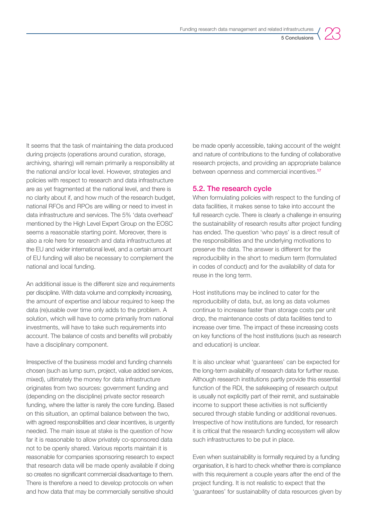

<span id="page-22-0"></span>It seems that the task of maintaining the data produced during projects (operations around curation, storage, archiving, sharing) will remain primarily a responsibility at the national and/or local level. However, strategies and policies with respect to research and data infrastructure are as yet fragmented at the national level, and there is no clarity about if, and how much of the research budget, national RFOs and RPOs are willing or need to invest in data infrastructure and services. The 5% 'data overhead' mentioned by the High Level Expert Group on the EOSC seems a reasonable starting point. Moreover, there is also a role here for research and data infrastructures at the EU and wider international level, and a certain amount of EU funding will also be necessary to complement the national and local funding.

An additional issue is the different size and requirements per discipline. With data volume and complexity increasing, the amount of expertise and labour required to keep the data (re)usable over time only adds to the problem. A solution, which will have to come primarily from national investments, will have to take such requirements into account. The balance of costs and benefits will probably have a disciplinary component.

Irrespective of the business model and funding channels chosen (such as lump sum, project, value added services, mixed), ultimately the money for data infrastructure originates from two sources: government funding and (depending on the discipline) private sector research funding, where the latter is rarely the core funding. Based on this situation, an optimal balance between the two, with agreed responsibilities and clear incentives, is urgently needed. The main issue at stake is the question of how far it is reasonable to allow privately co-sponsored data not to be openly shared. Various reports maintain it is reasonable for companies sponsoring research to expect that research data will be made openly available if doing so creates no significant commercial disadvantage to them. There is therefore a need to develop protocols on when and how data that may be commercially sensitive should

be made openly accessible, taking account of the weight and nature of contributions to the funding of collaborative research projects, and providing an appropriate balance between openness and commercial incentives.<sup>17</sup>

### 5.2. The research cycle

When formulating policies with respect to the funding of data facilities, it makes sense to take into account the full research cycle. There is clearly a challenge in ensuring the sustainability of research results after project funding has ended. The question 'who pays' is a direct result of the responsibilities and the underlying motivations to preserve the data. The answer is different for the reproducibility in the short to medium term (formulated in codes of conduct) and for the availability of data for reuse in the long term.

Host institutions may be inclined to cater for the reproducibility of data, but, as long as data volumes continue to increase faster than storage costs per unit drop, the maintenance costs of data facilities tend to increase over time. The impact of these increasing costs on key functions of the host institutions (such as research and education) is unclear.

It is also unclear what 'guarantees' can be expected for the long-term availability of research data for further reuse. Although research institutions partly provide this essential function of the RDI, the safekeeping of research output is usually not explicitly part of their remit, and sustainable income to support these activities is not sufficiently secured through stable funding or additional revenues. Irrespective of how institutions are funded, for research it is critical that the research funding ecosystem will allow such infrastructures to be put in place.

Even when sustainability is formally required by a funding organisation, it is hard to check whether there is compliance with this requirement a couple years after the end of the project funding. It is not realistic to expect that the 'guarantees' for sustainability of data resources given by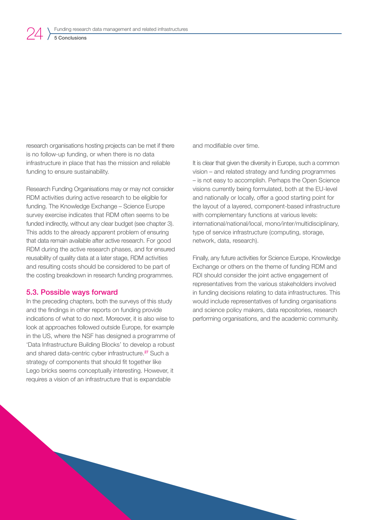<span id="page-23-0"></span>research organisations hosting projects can be met if there is no follow-up funding, or when there is no data infrastructure in place that has the mission and reliable funding to ensure sustainability.

Research Funding Organisations may or may not consider RDM activities during active research to be eligible for funding. The Knowledge Exchange – Science Europe survey exercise indicates that RDM often seems to be funded indirectly, without any clear budget (see chapter 3). This adds to the already apparent problem of ensuring that data remain available after active research. For good RDM during the active research phases, and for ensured reusability of quality data at a later stage, RDM activities and resulting costs should be considered to be part of the costing breakdown in research funding programmes.

#### 5.3. Possible ways forward

In the preceding chapters, both the surveys of this study and the findings in other reports on funding provide indications of what to do next. Moreover, it is also wise to look at approaches followed outside Europe, for example in the US, where the NSF has designed a programme of 'Data Infrastructure Building Blocks' to develop a robust and shared data-centric cyber infrastructure.<sup>27</sup> Such a strategy of components that should fit together like Lego bricks seems conceptually interesting. However, it requires a vision of an infrastructure that is expandable

and modifiable over time.

It is clear that given the diversity in Europe, such a common vision – and related strategy and funding programmes – is not easy to accomplish. Perhaps the Open Science visions currently being formulated, both at the EU-level and nationally or locally, offer a good starting point for the layout of a layered, component-based infrastructure with complementary functions at various levels: international/national/local, mono/inter/multidisciplinary, type of service infrastructure (computing, storage, network, data, research).

Finally, any future activities for Science Europe, Knowledge Exchange or others on the theme of funding RDM and RDI should consider the joint active engagement of representatives from the various stakeholders involved in funding decisions relating to data infrastructures. This would include representatives of funding organisations and science policy makers, data repositories, research performing organisations, and the academic community.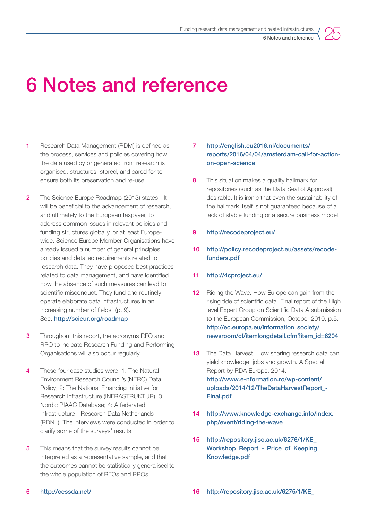

## <span id="page-24-0"></span>6 Notes and reference

- 1 Research Data Management (RDM) is defined as the process, services and policies covering how the data used by or generated from research is organised, structures, stored, and cared for to ensure both its preservation and re-use.
- 2 The Science Europe Roadmap (2013) states: "It will be beneficial to the advancement of research, and ultimately to the European taxpayer, to address common issues in relevant policies and funding structures globally, or at least Europewide. Science Europe Member Organisations have already issued a number of general principles, policies and detailed requirements related to research data. They have proposed best practices related to data management, and have identified how the absence of such measures can lead to scientific misconduct. They fund and routinely operate elaborate data infrastructures in an increasing number of fields" (p. 9). See: <http://scieur.org/roadmap>
- **3** Throughout this report, the acronyms RFO and RPO to indicate Research Funding and Performing Organisations will also occur regularly.
- 4 These four case studies were: 1: The Natural Environment Research Council's (NERC) Data Policy; 2: The National Financing Initiative for Research Infrastructure (INFRASTRUKTUR); 3: Nordic PIAAC Database; 4: A federated infrastructure - Research Data Netherlands (RDNL). The interviews were conducted in order to clarify some of the surveys' results.
- 5 This means that the survey results cannot be interpreted as a representative sample, and that the outcomes cannot be statistically generalised to the whole population of RFOs and RPOs.

### 7 [http://english.eu2016.nl/documents/](http://english.eu2016.nl/documents/reports/2016/04/04/amsterdam-call-for-action-on-open-science) [reports/2016/04/04/amsterdam-call-for-action](http://english.eu2016.nl/documents/reports/2016/04/04/amsterdam-call-for-action-on-open-science)[on-open-science](http://english.eu2016.nl/documents/reports/2016/04/04/amsterdam-call-for-action-on-open-science)

- 8 This situation makes a quality hallmark for repositories (such as the Data Seal of Approval) desirable. It is ironic that even the sustainability of the hallmark itself is not guaranteed because of a lack of stable funding or a secure business model.
- 9 [http://recodeproject.eu/](http://recodeproject.eu/ )
- 10 [http://policy.recodeproject.eu/assets/recode](http://policy.recodeproject.eu/assets/recode-funders.pdf)[funders.pdf](http://policy.recodeproject.eu/assets/recode-funders.pdf)

### 11 <http://4cproject.eu/>

- **12** Riding the Wave: How Europe can gain from the rising tide of scientific data. Final report of the High level Expert Group on Scientific Data A submission to the European Commission, October 2010, p.5. [http://ec.europa.eu/information\\_society/](http://ec.europa.eu/information_society/newsroom/cf/itemlongdetail.cfm?item_id=6204) [newsroom/cf/itemlongdetail.cfm?item\\_id=6204](http://ec.europa.eu/information_society/newsroom/cf/itemlongdetail.cfm?item_id=6204)
- **13** The Data Harvest: How sharing research data can yield knowledge, jobs and growth. A Special Report by RDA Europe, 2014. [http://www.e-nformation.ro/wp-content/](http://www.e-nformation.ro/wp-content/uploads/2014/12/TheDataHarvestReport_-Final.pdf ) uploads/2014/12/TheDataHarvestReport -[Final.pdf](http://www.e-nformation.ro/wp-content/uploads/2014/12/TheDataHarvestReport_-Final.pdf )
- 14 [http://www.knowledge-exchange.info/index.](http://www.knowledge-exchange.info/index.php/event/riding-the-wave ) [php/event/riding-the-wave](http://www.knowledge-exchange.info/index.php/event/riding-the-wave )
- 15 [http://repository.jisc.ac.uk/6276/1/KE\\_](http://repository.jisc.ac.uk/6276/1/KE_Workshop_Report_-_Price_of_Keeping_Knowledge.pdf) [Workshop\\_Report\\_-\\_Price\\_of\\_Keeping\\_](http://repository.jisc.ac.uk/6276/1/KE_Workshop_Report_-_Price_of_Keeping_Knowledge.pdf) [Knowledge.pdf](http://repository.jisc.ac.uk/6276/1/KE_Workshop_Report_-_Price_of_Keeping_Knowledge.pdf)

#### 6 <http://cessda.net/>

16 [http://repository.jisc.ac.uk/6275/1/KE\\_](http://repository.jisc.ac.uk/6275/1/KE_Workshop_report_-_Making_data_count_-_Research_Data_and_Research_Assessment.pdf)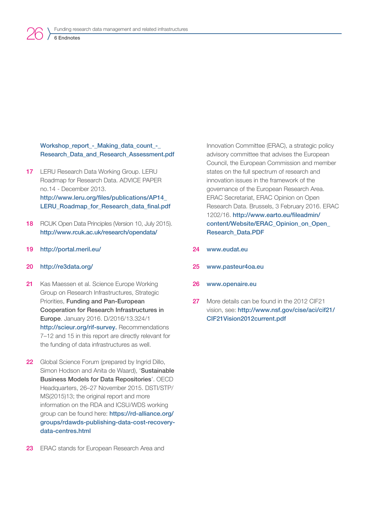#### Workshop\_report - Making\_data\_count -Research Data and Research Assessment.pdf

- 17 LERU Research Data Working Group. LERU Roadmap for Research Data. ADVICE PAPER no.14 - December 2013. [http://www.leru.org/files/publications/AP14\\_](http://www.leru.org/files/publications/AP14_LERU_Roadmap_for_Research_data_final.pdf) [LERU\\_Roadmap\\_for\\_Research\\_data\\_final.pdf](http://www.leru.org/files/publications/AP14_LERU_Roadmap_for_Research_data_final.pdf)
- 18 RCUK Open Data Principles (Version 10, July 2015). <http://www.rcuk.ac.uk/research/opendata/>
- 19 <http://portal.meril.eu/>

#### 20 <http://re3data.org/>

26

- 21 Kas Maessen et al. Science Europe Working Group on Research Infrastructures, Strategic Priorities, Funding and Pan-European Cooperation for Research Infrastructures in Europe. January 2016. D/2016/13.324/1 [http://scieur.org/rif-survey.](http://scieur.org/rif-survey) Recommendations 7–12 and 15 in this report are directly relevant for the funding of data infrastructures as well.
- 22 Global Science Forum (prepared by Ingrid Dillo, Simon Hodson and Anita de Waard), 'Sustainable Business Models for Data Repositories'. OECD Headquarters, 26–27 November 2015. DSTI/STP/ MS(2015)13; the original report and more information on the RDA and ICSU/WDS working group can be found here: [https://rd-alliance.org/](https://rd-alliance.org/groups/rdawds-publishing-data-cost-recovery-data-centres.html ) [groups/rdawds-publishing-data-cost-recovery](https://rd-alliance.org/groups/rdawds-publishing-data-cost-recovery-data-centres.html )[data-centres.html](https://rd-alliance.org/groups/rdawds-publishing-data-cost-recovery-data-centres.html )
- 23 ERAC stands for European Research Area and

Innovation Committee (ERAC), a strategic policy advisory committee that advises the European Council, the European Commission and member states on the full spectrum of research and innovation issues in the framework of the governance of the European Research Area. ERAC Secretariat, ERAC Opinion on Open Research Data. Brussels, 3 February 2016. ERAC 1202/16. [http://www.earto.eu/fileadmin/](http://www.earto.eu/fileadmin/content/Website/ERAC_Opinion_on_Open_Research_Data.PDF) [content/Website/ERAC\\_Opinion\\_on\\_Open\\_](http://www.earto.eu/fileadmin/content/Website/ERAC_Opinion_on_Open_Research_Data.PDF) [Research\\_Data.PDF](http://www.earto.eu/fileadmin/content/Website/ERAC_Opinion_on_Open_Research_Data.PDF)

- 24 [www.eudat.eu](http://www.eudat.eu)
- 25 [www.pasteur4oa.eu](http://www.pasteur4oa.eu)
- 26 [www.openaire.eu](http://www.openaire.eu)
- 27 More details can be found in the 2012 CIF21 vision, see: [http://www.nsf.gov/cise/aci/cif21/](http://www.nsf.gov/cise/aci/cif21/CIF21Vision2012current.pdf) [CIF21Vision2012current.pdf](http://www.nsf.gov/cise/aci/cif21/CIF21Vision2012current.pdf)